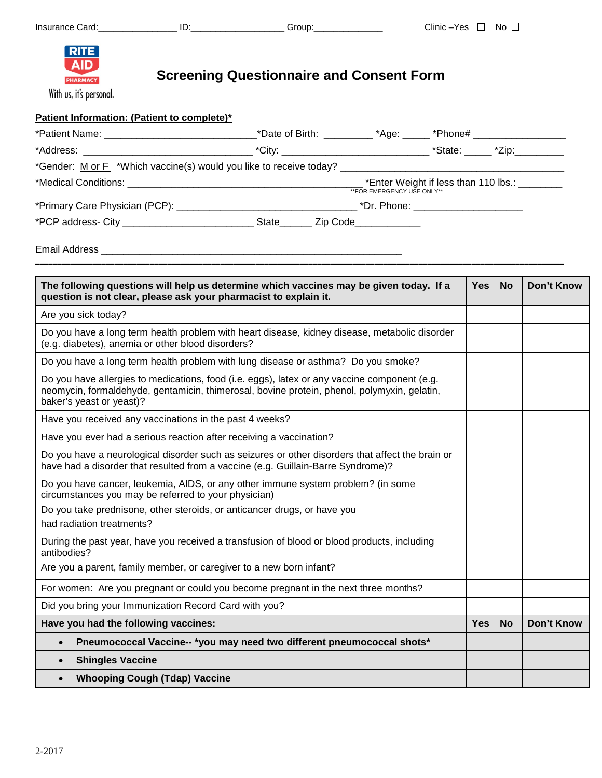

## **Screening Questionnaire and Consent Form**

With us, it's personal.

**Patient Information: (Patient to complete)\***

| *Patient Name: ________________________________*Date of Birth: __________ *Age: ______ *Phone# _______________                                                                                                          |                                                                        |  |            |           |                   |
|-------------------------------------------------------------------------------------------------------------------------------------------------------------------------------------------------------------------------|------------------------------------------------------------------------|--|------------|-----------|-------------------|
| *Address: __________________________________*City: ________________________________*State: ______ *Zip:____________                                                                                                     |                                                                        |  |            |           |                   |
|                                                                                                                                                                                                                         |                                                                        |  |            |           |                   |
|                                                                                                                                                                                                                         |                                                                        |  |            |           |                   |
|                                                                                                                                                                                                                         |                                                                        |  |            |           |                   |
|                                                                                                                                                                                                                         |                                                                        |  |            |           |                   |
|                                                                                                                                                                                                                         |                                                                        |  |            |           |                   |
| The following questions will help us determine which vaccines may be given today. If a<br>question is not clear, please ask your pharmacist to explain it.                                                              |                                                                        |  | <b>Yes</b> | <b>No</b> | <b>Don't Know</b> |
| Are you sick today?                                                                                                                                                                                                     |                                                                        |  |            |           |                   |
| Do you have a long term health problem with heart disease, kidney disease, metabolic disorder<br>(e.g. diabetes), anemia or other blood disorders?                                                                      |                                                                        |  |            |           |                   |
| Do you have a long term health problem with lung disease or asthma? Do you smoke?                                                                                                                                       |                                                                        |  |            |           |                   |
| Do you have allergies to medications, food (i.e. eggs), latex or any vaccine component (e.g.<br>neomycin, formaldehyde, gentamicin, thimerosal, bovine protein, phenol, polymyxin, gelatin,<br>baker's yeast or yeast)? |                                                                        |  |            |           |                   |
| Have you received any vaccinations in the past 4 weeks?                                                                                                                                                                 |                                                                        |  |            |           |                   |
| Have you ever had a serious reaction after receiving a vaccination?                                                                                                                                                     |                                                                        |  |            |           |                   |
| Do you have a neurological disorder such as seizures or other disorders that affect the brain or<br>have had a disorder that resulted from a vaccine (e.g. Guillain-Barre Syndrome)?                                    |                                                                        |  |            |           |                   |
| Do you have cancer, leukemia, AIDS, or any other immune system problem? (in some<br>circumstances you may be referred to your physician)                                                                                |                                                                        |  |            |           |                   |
| Do you take prednisone, other steroids, or anticancer drugs, or have you<br>had radiation treatments?                                                                                                                   |                                                                        |  |            |           |                   |
| During the past year, have you received a transfusion of blood or blood products, including<br>antibodies?                                                                                                              |                                                                        |  |            |           |                   |
| Are you a parent, family member, or caregiver to a new born infant?                                                                                                                                                     |                                                                        |  |            |           |                   |
| For women: Are you pregnant or could you become pregnant in the next three months?                                                                                                                                      |                                                                        |  |            |           |                   |
| Did you bring your Immunization Record Card with you?                                                                                                                                                                   |                                                                        |  |            |           |                   |
| Have you had the following vaccines:                                                                                                                                                                                    |                                                                        |  | <b>Yes</b> | <b>No</b> | <b>Don't Know</b> |
| $\bullet$                                                                                                                                                                                                               | Pneumococcal Vaccine-- *you may need two different pneumococcal shots* |  |            |           |                   |
| <b>Shingles Vaccine</b><br>$\bullet$                                                                                                                                                                                    |                                                                        |  |            |           |                   |
| <b>Whooping Cough (Tdap) Vaccine</b><br>$\bullet$                                                                                                                                                                       |                                                                        |  |            |           |                   |